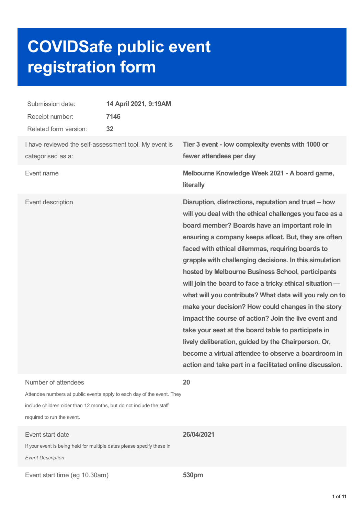# **COVIDSafe public event registration form**

| Submission date:<br>Receipt number:<br>Related form version:                                                                                                                                       | 14 April 2021, 9:19AM<br>7146<br>32 |                                                                                                                                                                                                                                                                                                                                                                                                                                                                                                                                                                                                                                                                                                                                                                                                                                                                    |
|----------------------------------------------------------------------------------------------------------------------------------------------------------------------------------------------------|-------------------------------------|--------------------------------------------------------------------------------------------------------------------------------------------------------------------------------------------------------------------------------------------------------------------------------------------------------------------------------------------------------------------------------------------------------------------------------------------------------------------------------------------------------------------------------------------------------------------------------------------------------------------------------------------------------------------------------------------------------------------------------------------------------------------------------------------------------------------------------------------------------------------|
| I have reviewed the self-assessment tool. My event is<br>categorised as a:                                                                                                                         |                                     | Tier 3 event - low complexity events with 1000 or<br>fewer attendees per day                                                                                                                                                                                                                                                                                                                                                                                                                                                                                                                                                                                                                                                                                                                                                                                       |
| Event name                                                                                                                                                                                         |                                     | Melbourne Knowledge Week 2021 - A board game,<br>literally                                                                                                                                                                                                                                                                                                                                                                                                                                                                                                                                                                                                                                                                                                                                                                                                         |
| Event description                                                                                                                                                                                  |                                     | Disruption, distractions, reputation and trust – how<br>will you deal with the ethical challenges you face as a<br>board member? Boards have an important role in<br>ensuring a company keeps afloat. But, they are often<br>faced with ethical dilemmas, requiring boards to<br>grapple with challenging decisions. In this simulation<br>hosted by Melbourne Business School, participants<br>will join the board to face a tricky ethical situation -<br>what will you contribute? What data will you rely on to<br>make your decision? How could changes in the story<br>impact the course of action? Join the live event and<br>take your seat at the board table to participate in<br>lively deliberation, guided by the Chairperson. Or,<br>become a virtual attendee to observe a boardroom in<br>action and take part in a facilitated online discussion. |
| Number of attendees<br>Attendee numbers at public events apply to each day of the event. They<br>include children older than 12 months, but do not include the staff<br>required to run the event. |                                     | 20                                                                                                                                                                                                                                                                                                                                                                                                                                                                                                                                                                                                                                                                                                                                                                                                                                                                 |
| Event start date<br>If your event is being held for multiple dates please specify these in<br><b>Event Description</b>                                                                             |                                     | 26/04/2021                                                                                                                                                                                                                                                                                                                                                                                                                                                                                                                                                                                                                                                                                                                                                                                                                                                         |

Event start time (eg 10.30am) **530pm**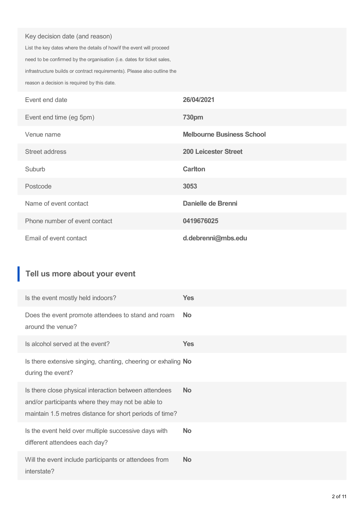#### Key decision date (and reason)

List the key dates where the details of how/if the event will proceed need to be confirmed by the organisation (i.e. dates for ticket sales, infrastructure builds or contract requirements). Please also outline the reason a decision is required by this date.

| Event end date                | 26/04/2021                       |
|-------------------------------|----------------------------------|
| Event end time (eg 5pm)       | <b>730pm</b>                     |
| Venue name                    | <b>Melbourne Business School</b> |
| Street address                | <b>200 Leicester Street</b>      |
| Suburb                        | <b>Carlton</b>                   |
| Postcode                      | 3053                             |
| Name of event contact         | Danielle de Brenni               |
| Phone number of event contact | 0419676025                       |
| Email of event contact        | d.debrenni@mbs.edu               |

## **Tell us more about your event**

| Is the event mostly held indoors?                                                                                                                                     | <b>Yes</b> |
|-----------------------------------------------------------------------------------------------------------------------------------------------------------------------|------------|
| Does the event promote attendees to stand and roam<br>around the venue?                                                                                               | <b>No</b>  |
| Is alcohol served at the event?                                                                                                                                       | <b>Yes</b> |
| Is there extensive singing, chanting, cheering or exhaling No<br>during the event?                                                                                    |            |
| Is there close physical interaction between attendees<br>and/or participants where they may not be able to<br>maintain 1.5 metres distance for short periods of time? | <b>No</b>  |
| Is the event held over multiple successive days with<br>different attendees each day?                                                                                 | <b>No</b>  |
| Will the event include participants or attendees from<br>interstate?                                                                                                  | <b>No</b>  |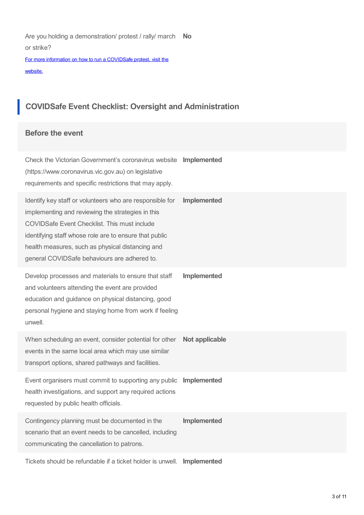Are you holding a demonstration/ protest / rally/ march **No** or strike?

For more information on how to run a [COVIDSafe](https://www.coronavirus.vic.gov.au/public-events-information-for-organisers#requirements-from-public-event-organisers) protest, visit the website.

# **COVIDSafe Event Checklist: Oversight and Administration**

#### **Before the event**

| Check the Victorian Government's coronavirus website<br>(https://www.coronavirus.vic.gov.au) on legislative<br>requirements and specific restrictions that may apply.                                                                                                                                                       | Implemented    |
|-----------------------------------------------------------------------------------------------------------------------------------------------------------------------------------------------------------------------------------------------------------------------------------------------------------------------------|----------------|
| Identify key staff or volunteers who are responsible for<br>implementing and reviewing the strategies in this<br>COVIDSafe Event Checklist. This must include<br>identifying staff whose role are to ensure that public<br>health measures, such as physical distancing and<br>general COVIDSafe behaviours are adhered to. | Implemented    |
| Develop processes and materials to ensure that staff<br>and volunteers attending the event are provided<br>education and guidance on physical distancing, good<br>personal hygiene and staying home from work if feeling<br>unwell.                                                                                         | Implemented    |
| When scheduling an event, consider potential for other<br>events in the same local area which may use similar<br>transport options, shared pathways and facilities.                                                                                                                                                         | Not applicable |
| Event organisers must commit to supporting any public<br>health investigations, and support any required actions<br>requested by public health officials.                                                                                                                                                                   | Implemented    |
| Contingency planning must be documented in the<br>scenario that an event needs to be cancelled, including<br>communicating the cancellation to patrons.                                                                                                                                                                     | Implemented    |
|                                                                                                                                                                                                                                                                                                                             |                |

Tickets should be refundable if a ticket holder is unwell. **Implemented**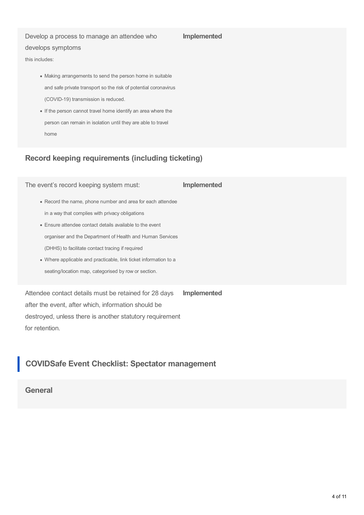#### Develop a process to manage an attendee who

#### **Implemented**

#### develops symptoms

this includes:

- Making arrangements to send the person home in suitable and safe private transport so the risk of potential coronavirus (COVID-19) transmission is reduced.
- If the person cannot travel home identify an area where the person can remain in isolation until they are able to travel home

## **Record keeping requirements (including ticketing)**

The event's record keeping system must: Record the name, phone number and area for each attendee in a way that complies with privacy obligations Ensure attendee contact details available to the event organiser and the Department of Health and Human Services (DHHS) to facilitate contact tracing if required Where applicable and practicable, link ticket information to a seating/location map, categorised by row or section. **Implemented** Attendee contact details must be retained for 28 days **Implemented**

after the event, after which, information should be destroyed, unless there is another statutory requirement for retention.

## **COVIDSafe Event Checklist: Spectator management**

#### **General**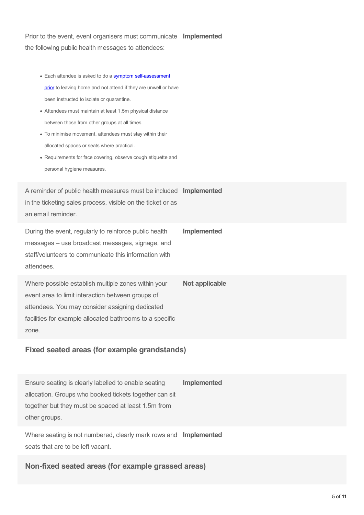Prior to the event, event organisers must communicate **Implemented** the following public health messages to attendees:

- Each attendee is asked to do a symptom [self-assessment](https://www.coronavirus.vic.gov.au/signs-posters-and-templates) prior to leaving home and not attend if they are unwell or have been instructed to isolate or quarantine.
- Attendees must maintain at least 1.5m physical distance between those from other groups at all times.
- To minimise movement, attendees must stay within their allocated spaces or seats where practical.
- Requirements for face covering, observe cough etiquette and personal hygiene measures.

A reminder of public health measures must be included **Implemented** in the ticketing sales process, visible on the ticket or as an email reminder.

During the event, regularly to reinforce public health messages – use broadcast messages, signage, and staff/volunteers to communicate this information with attendees. **Implemented**

Where possible establish multiple zones within your event area to limit interaction between groups of attendees. You may consider assigning dedicated facilities for example allocated bathrooms to a specific zone. **Not applicable**

#### **Fixed seated areas (for example grandstands)**

Ensure seating is clearly labelled to enable seating allocation. Groups who booked tickets together can sit together but they must be spaced at least 1.5m from other groups. **Implemented**

Where seating is not numbered, clearly mark rows and **Implemented** seats that are to be left vacant.

**Non-fixed seated areas (for example grassed areas)**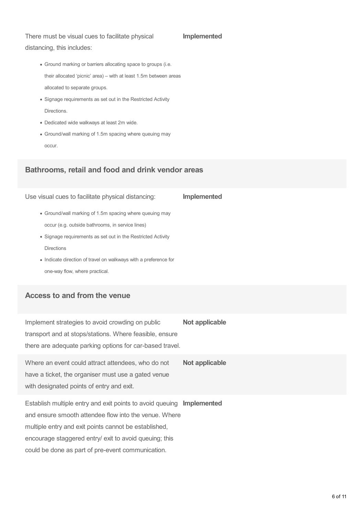There must be visual cues to facilitate physical distancing, this includes:

#### **Implemented**

**Implemented**

- Ground marking or barriers allocating space to groups (i.e. their allocated 'picnic' area) – with at least 1.5m between areas allocated to separate groups.
- Signage requirements as set out in the Restricted Activity Directions.
- Dedicated wide walkways at least 2m wide.
- Ground/wall marking of 1.5m spacing where queuing may occur.

#### **Bathrooms, retail and food and drink vendor areas**

Use visual cues to facilitate physical distancing:

- Ground/wall marking of 1.5m spacing where queuing may occur (e.g. outside bathrooms, in service lines)
- Signage requirements as set out in the Restricted Activity Directions
- Indicate direction of travel on walkways with a preference for one-way flow, where practical.

### **Access to and from the venue**

Implement strategies to avoid crowding on public transport and at stops/stations. Where feasible, ensure there are adequate parking options for car-based travel. **Not applicable**

Where an event could attract attendees, who do not have a ticket, the organiser must use a gated venue with designated points of entry and exit. **Not applicable**

Establish multiple entry and exit points to avoid queuing **Implemented** and ensure smooth attendee flow into the venue. Where multiple entry and exit points cannot be established, encourage staggered entry/ exit to avoid queuing; this could be done as part of pre-event communication.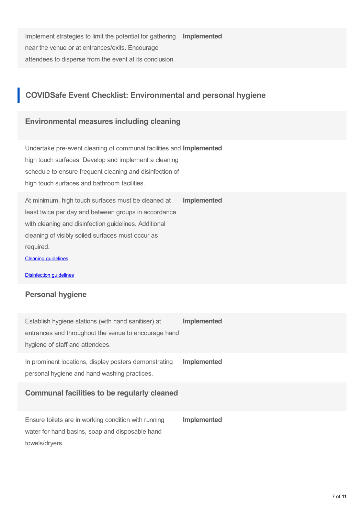Implement strategies to limit the potential for gathering near the venue or at entrances/exits. Encourage attendees to disperse from the event at its conclusion. **Implemented**

## **COVIDSafe Event Checklist: Environmental and personal hygiene**

#### **Environmental measures including cleaning**

Undertake pre-event cleaning of communal facilities and **Implemented** high touch surfaces. Develop and implement a cleaning schedule to ensure frequent cleaning and disinfection of high touch surfaces and bathroom facilities.

At minimum, high touch surfaces must be cleaned at least twice per day and between groups in accordance with cleaning and disinfection guidelines. Additional cleaning of visibly soiled surfaces must occur as required. **Implemented**

Cleaning [guidelines](https://www.dhhs.vic.gov.au/preventing-infection-workplace-covid-19#cleaning-and-disinfection)

[Disinfection](https://www.coronavirus.vic.gov.au/preventing-infection-workplace) guidelines

#### **Personal hygiene**

Establish hygiene stations (with hand sanitiser) at entrances and throughout the venue to encourage hand hygiene of staff and attendees. **Implemented** In prominent locations, display posters demonstrating personal hygiene and hand washing practices. **Implemented**

#### **Communal facilities to be regularly cleaned**

Ensure toilets are in working condition with running water for hand basins, soap and disposable hand towels/dryers. **Implemented**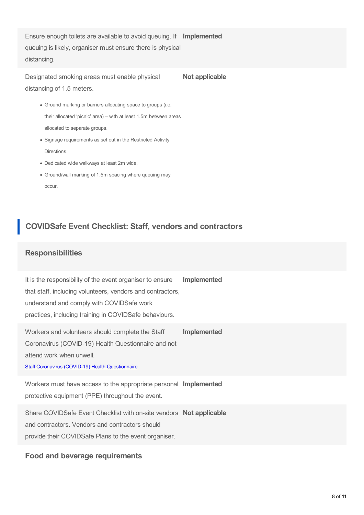Ensure enough toilets are available to avoid queuing. If **Implemented** queuing is likely, organiser must ensure there is physical distancing.

Designated smoking areas must enable physical distancing of 1.5 meters. **Not applicable**

- Ground marking or barriers allocating space to groups (i.e. their allocated 'picnic' area) – with at least 1.5m between areas allocated to separate groups.
- Signage requirements as set out in the Restricted Activity Directions.
- Dedicated wide walkways at least 2m wide.
- Ground/wall marking of 1.5m spacing where queuing may occur.

## **COVIDSafe Event Checklist: Staff, vendors and contractors**

#### **Responsibilities**

It is the responsibility of the event organiser to ensure that staff, including volunteers, vendors and contractors, understand and comply with COVIDSafe work practices, including training in COVIDSafe behaviours. **Implemented**

Workers and volunteers should complete the Staff Coronavirus (COVID-19) Health Questionnaire and not attend work when unwell. **Implemented**

Staff Coronavirus (COVID-19) Health [Questionnaire](https://www.coronavirus.vic.gov.au/sites/default/files/2020-09/Staff-Coronavirus-COVID-19-Health-Questionnaire.docx)

Workers must have access to the appropriate personal **Implemented** protective equipment (PPE) throughout the event.

Share COVIDSafe Event Checklist with on-site vendors **Not applicable** and contractors. Vendors and contractors should provide their COVIDSafe Plans to the event organiser.

#### **Food and beverage requirements**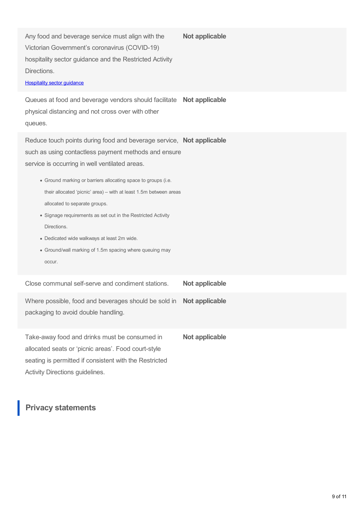Any food and beverage service must align with the Victorian Government's coronavirus (COVID-19) hospitality sector guidance and the Restricted Activity Directions. **Not applicable**

#### **[Hospitality](https://www.coronavirus.vic.gov.au/hospitality-food-and-beverage-services-sector-guidance) sector guidance**

Queues at food and beverage vendors should facilitate **Not applicable** physical distancing and not cross over with other queues.

Reduce touch points during food and beverage service, **Not applicable** such as using contactless payment methods and ensure service is occurring in well ventilated areas.

- Ground marking or barriers allocating space to groups (i.e. their allocated 'picnic' area) – with at least 1.5m between areas allocated to separate groups.
- Signage requirements as set out in the Restricted Activity Directions.
- Dedicated wide walkways at least 2m wide.
- Ground/wall marking of 1.5m spacing where queuing may occur.

| Close communal self-serve and condiment stations.                                                                 | Not applicable |
|-------------------------------------------------------------------------------------------------------------------|----------------|
| Where possible, food and beverages should be sold in <b>Not applicable</b><br>packaging to avoid double handling. |                |
|                                                                                                                   |                |

Take-away food and drinks must be consumed in allocated seats or 'picnic areas'. Food court-style seating is permitted if consistent with the Restricted Activity Directions guidelines. **Not applicable**

## **Privacy statements**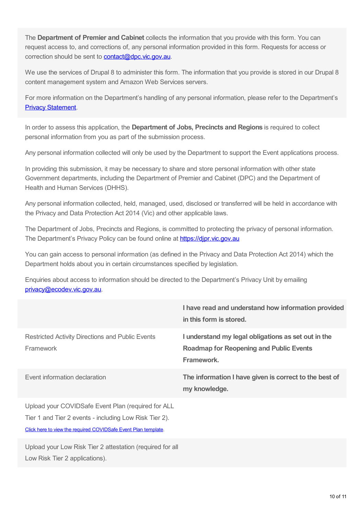The **Department of Premier and Cabinet** collects the information that you provide with this form. You can request access to, and corrections of, any personal information provided in this form. Requests for access or correction should be sent to **[contact@dpc.vic.gov.au](mailto:contact@dpc.vic.gov.au)**.

We use the services of Drupal 8 to administer this form. The information that you provide is stored in our Drupal 8 content management system and Amazon Web Services servers.

For more information on the Department's handling of any personal information, please refer to the Department's Privacy [Statement](https://www.vic.gov.au/privacy-vicgovau).

In order to assess this application, the **Department of Jobs, Precincts and Regions** is required to collect personal information from you as part of the submission process.

Any personal information collected will only be used by the Department to support the Event applications process.

In providing this submission, it may be necessary to share and store personal information with other state Government departments, including the Department of Premier and Cabinet (DPC) and the Department of Health and Human Services (DHHS).

Any personal information collected, held, managed, used, disclosed or transferred will be held in accordance with the Privacy and Data Protection Act 2014 (Vic) and other applicable laws.

The Department of Jobs, Precincts and Regions, is committed to protecting the privacy of personal information. The Department's Privacy Policy can be found online at **https://dipr.vic.gov.au** 

You can gain access to personal information (as defined in the Privacy and Data Protection Act 2014) which the Department holds about you in certain circumstances specified by legislation.

Enquiries about access to information should be directed to the Department's Privacy Unit by emailing [privacy@ecodev.vic.gov.au](mailto:privacy@ecodev.vic.gov.au).

|                                                                                                                                                                                | I have read and understand how information provided<br>in this form is stored.                                      |
|--------------------------------------------------------------------------------------------------------------------------------------------------------------------------------|---------------------------------------------------------------------------------------------------------------------|
| <b>Restricted Activity Directions and Public Events</b><br>Framework                                                                                                           | I understand my legal obligations as set out in the<br><b>Roadmap for Reopening and Public Events</b><br>Framework. |
| Event information declaration                                                                                                                                                  | The information I have given is correct to the best of<br>my knowledge.                                             |
| Upload your COVIDSafe Event Plan (required for ALL<br>Tier 1 and Tier 2 events - including Low Risk Tier 2).<br>Click here to view the required COVIDSafe Event Plan template. |                                                                                                                     |
| Upload your Low Risk Tier 2 attestation (required for all<br>Low Risk Tier 2 applications).                                                                                    |                                                                                                                     |